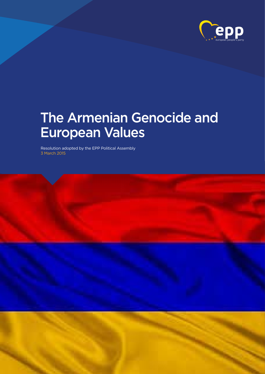

## The Armenian Genocide and European Values

Resolution adopted by the EPP Political Assembly 3 March 2015

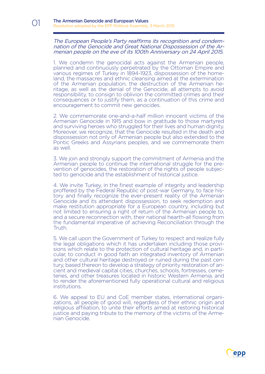01

The European People's Party reaffirms its recognition and condemnation of the Genocide and Great National Dispossession of the Armenian people on the eve of its 100th Anniversary on 24 April 2015.

1. We condemn the genocidal acts against the Armenian people, planned and continuously perpetrated by the Ottoman Empire and various regimes of Turkey in 1894-1923, dispossession of the homeland, the massacres and ethnic cleansing aimed at the extermination of the Armenian population, the destruction of the Armenian heritage, as well as the denial of the Genocide, all attempts to avoid responsibility, to consign to oblivion the committed crimes and their consequences or to justify them, as a continuation of this crime and encouragement to commit new genocides.

2. We commemorate one-and-a-half million innocent victims of the Armenian Genocide in 1915 and bow in gratitude to those martyred and surviving heroes who struggled for their lives and human dignity. Moreover, we recognize, that the Genocide resulted in the death and dispossession not only of Armenian people but also extended to the Pontic Greeks and Assyrians peoples, and we commemorate them as well.

3. We join and strongly support the commitment of Armenia and the Armenian people to continue the international struggle for the prevention of genocides, the restoration of the rights of people subjected to genocide and the establishment of historical justice.

4. We invite Turkey, in the finest example of integrity and leadership proffered by the Federal Republic of post-war Germany, to face history and finally recognize the ever-present reality of the Armenian Genocide and its attendant dispossession, to seek redemption and make restitution appropriate for a European country, including but not limited to ensuring a right of return of the Armenian people to, and a secure reconnection with, their national hearth-all flowing from the fundamental imperative of achieving Reconciliation through the Truth.

5. We call upon the Government of Turkey to respect and realize fully the legal obligations which it has undertaken including those provisions which relate to the protection of cultural heritage and, in particular, to conduct in good faith an integrated inventory of Armenian and other cultur tury, based thereon to develop a strategy of priority restoration of ancient and medieval capital cities, churches, schools, fortresses, cemeteries, and other treasures located in historic Western Armenia, and to render the aforementioned fully operational cultural and religious institutions.

6. We appeal to EU and CoE member states, international organizations, all people of good will, regardless of their ethnic origin and religious affiliation, to unite their efforts aimed at restoring historical justice and paying tribute to the memory of the victims of the Armenian Genocide.

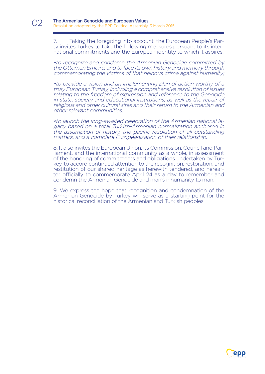7. Taking the foregoing into account, the European People's Party invites Turkey to take the following measures pursuant to its international commitments and the European identity to which it aspires:

•to recognize and condemn the Armenian Genocide committed by the Ottoman Empire, and to face its own history and memory through commemorating the victims of that heinous crime against humanity;

•to provide a vision and an implementing plan of action worthy of a truly European Turkey, including a comprehensive resolution of issues relating to the freedom of expression and reference to the Genocide in state, society and educational institutions, as well as the repair of religious and other cultural sites and their return to the Armenian and other relevant communities;

•to launch the long-awaited celebration of the Armenian national legacy based on a total Turkish-Armenian normalization anchored in the assumption of history, the pacific resolution of all outstanding matters, and a complete Europeanization of their relationship.

8. It also invites the European Union, its Commission, Council and Par-<br>liament, and the international community as a whole, in assessment<br>of the honoring of commitments and obligations undertaken by Turkey, to accord continued attention to the recognition, restoration, and restitution of our shared heritage as herewith tendered, and hereafter officially to commemorate April 24 as a day to remember and condemn the Armenian Genocide and man's inhumanity to man.

9. We express the hope that recognition and condemnation of the Armenian Genocide by Turkey will serve as a starting point for the historical reconciliation of the Armenian and Turkish peoples



 $\bigcap$